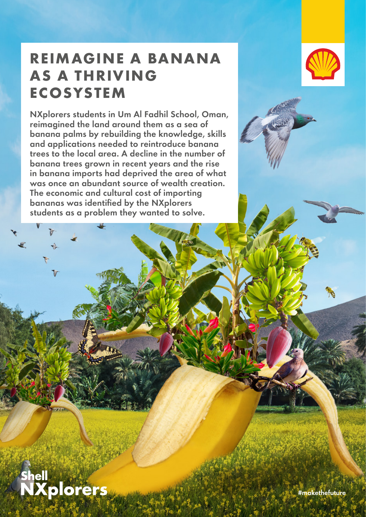## **REIMAGINE A BANANA AS A THRIVING ECOSYSTEM**

NXplorers students in Um Al Fadhil School, Oman, reimagined the land around them as a sea of banana palms by rebuilding the knowledge, skills and applications needed to reintroduce banana trees to the local area. A decline in the number of banana trees grown in recent years and the rise in banana imports had deprived the area of what was once an abundant source of wealth creation. The economic and cultural cost of importing bananas was identified by the NXplorers students as a problem they wanted to solve.



# **Shell**<br>NXplorers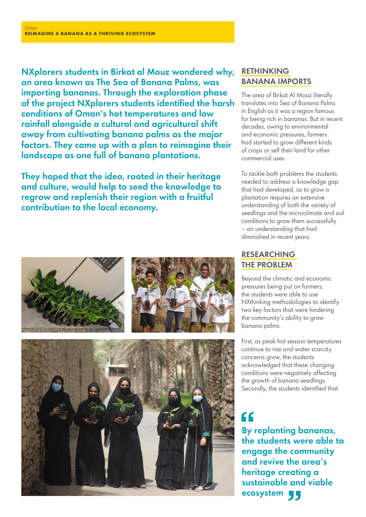NXplorers students in Birkat al Mouz wondered why, an area known as The Sea of Banana Palms, was importing bananas. Through the exploration phase of the project NXplorers students identified the harsh conditions of Oman's hot temperatures and low rainfall alongside a cultural and agricultural shift away from cultivating banana palms as the major factors. They came up with a plan to reimagine their landscape as one full of banana plantations.

They hoped that the idea, rooted in their heritage and culture, would help to seed the knowledge to regrow and replenish their region with a fruitful contribution to the local economy.

### RETHINKING BANANA IMPORTS

The area of Birkat Al Mouz literally translates into Sea of Banana Palms in English as it was a region famous for being rich in bananas. But in recent decades, owing to environmental and economic pressures, farmers had started to grow different kinds of crops or sell their land for other commercial uses.

To tackle both problems the students needed to address a knowledge gap that had developed, as to grow a plantation requires an extensive understanding of both the variety of seedlings and the microclimate and soil conditions to grow them successfully – an understanding that had diminished in recent years.

#### RESEARCHING THE PROBLEM

Beyond the climatic and economic pressures being put on farmers; the students were able to use NXthinking methodologies to identify two key factors that were hindering the community's ability to grow banana palms.

First, as peak hot season temperatures continue to rise and water scarcity concerns grow, the students acknowledged that these changing conditions were negatively affecting the growth of banana seedlings. Secondly, the students identified that

 $\epsilon$ By replanting bananas, the students were able to engage the community and revive the area's heritage creating a sustainable and viable ecosystem **44**